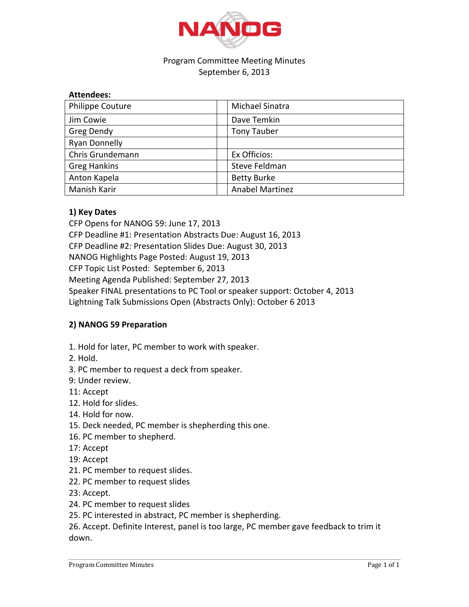

## Program Committee Meeting Minutes September 6, 2013

| <b>Philippe Couture</b> | Michael Sinatra        |
|-------------------------|------------------------|
| Jim Cowie               | Dave Temkin            |
| Greg Dendy              | <b>Tony Tauber</b>     |
| <b>Ryan Donnelly</b>    |                        |
| Chris Grundemann        | Ex Officios:           |
| <b>Greg Hankins</b>     | Steve Feldman          |
| Anton Kapela            | <b>Betty Burke</b>     |
| Manish Karir            | <b>Anabel Martinez</b> |

## **1) Key Dates**

CFP Opens for NANOG 59: June 17, 2013 CFP Deadline #1: Presentation Abstracts Due: August 16, 2013 CFP Deadline #2: Presentation Slides Due: August 30, 2013 NANOG Highlights Page Posted: August 19, 2013 CFP Topic List Posted: September 6, 2013 Meeting Agenda Published: September 27, 2013 Speaker FINAL presentations to PC Tool or speaker support: October 4, 2013 Lightning Talk Submissions Open (Abstracts Only): October 6 2013

## **2) NANOG 59 Preparation**

- 1. Hold for later, PC member to work with speaker.
- 2. Hold.
- 3. PC member to request a deck from speaker.
- 9: Under review.
- 11: Accept
- 12. Hold for slides.
- 14. Hold for now.
- 15. Deck needed, PC member is shepherding this one.
- 16. PC member to shepherd.
- 17: Accept
- 19: Accept
- 21. PC member to request slides.
- 22. PC member to request slides
- 23: Accept.
- 24. PC member to request slides
- 25. PC interested in abstract, PC member is shepherding.

26. Accept. Definite Interest, panel is too large, PC member gave feedback to trim it down.